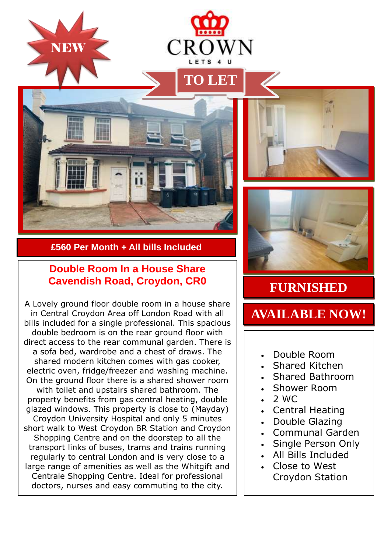









## **£560 Per Month + All bills Included**

## **Double Room In a House Share Cavendish Road, Croydon, CR0**

A Lovely ground floor double room in a house share in Central Croydon Area off London Road with all bills included for a single professional. This spacious double bedroom is on the rear ground floor with direct access to the rear communal garden. There is a sofa bed, wardrobe and a chest of draws. The shared modern kitchen comes with gas cooker, electric oven, fridge/freezer and washing machine. On the ground floor there is a shared shower room with toilet and upstairs shared bathroom. The property benefits from gas central heating, double glazed windows. This property is close to (Mayday) Croydon University Hospital and only 5 minutes short walk to West Croydon BR Station and Croydon Shopping Centre and on the doorstep to all the transport links of buses, trams and trains running regularly to central London and is very close to a large range of amenities as well as the Whitgift and Centrale Shopping Centre. Ideal for professional doctors, nurses and easy commuting to the city.

## **FURNISHED**

## **AVAILABLE NOW!**

- Double Room
- Shared Kitchen
- Shared Bathroom
- Shower Room
- $-2$  WC
- Central Heating
- Double Glazing
- Communal Garden
- Single Person Only
- All Bills Included
- Close to West Croydon Station